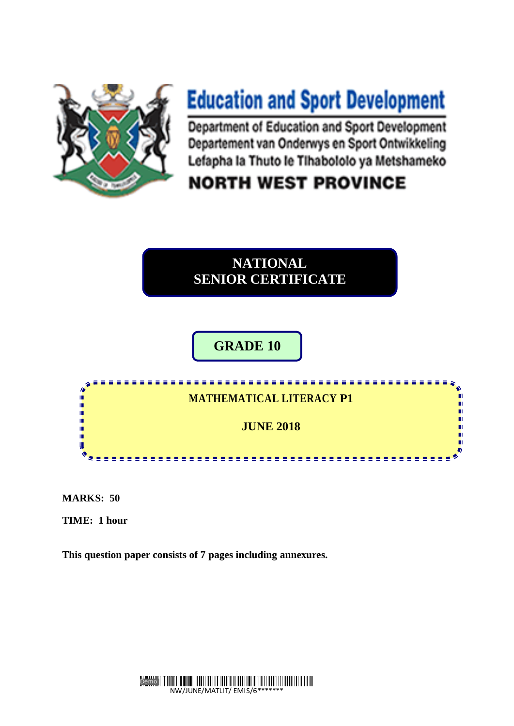

# **Education and Sport Development**

Department of Education and Sport Development Departement van Onderwys en Sport Ontwikkeling Lefapha la Thuto le Tihabololo ya Metshameko

# **NORTH WEST PROVINCE**

# **NATIONAL SENIOR CERTIFICATE**

# **GRADE 10**



**MARKS: 50**

**TIME: 1 hour** 

**This question paper consists of 7 pages including annexures.**

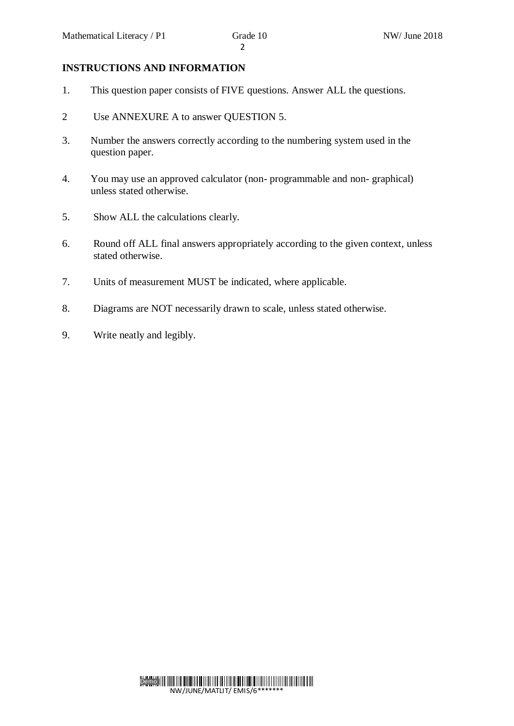## **INSTRUCTIONS AND INFORMATION**

- 1. This question paper consists of FIVE questions. Answer ALL the questions.
- 2 Use ANNEXURE A to answer QUESTION 5.
- 3. Number the answers correctly according to the numbering system used in the question paper.
- 4. You may use an approved calculator (non- programmable and non- graphical) unless stated otherwise.
- 5. Show ALL the calculations clearly.
- 6. Round off ALL final answers appropriately according to the given context, unless stated otherwise.
- 7. Units of measurement MUST be indicated, where applicable.
- 8. Diagrams are NOT necessarily drawn to scale, unless stated otherwise.
- 9. Write neatly and legibly.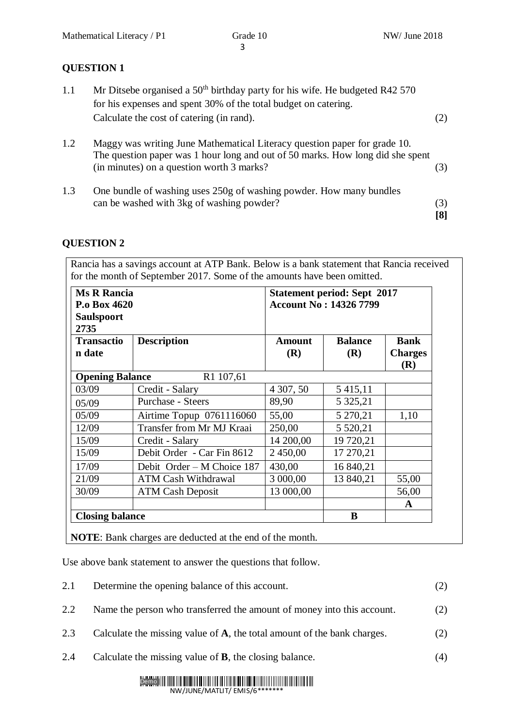# **QUESTION 1**

- 1.1 Mr Ditsebe organised a  $50<sup>th</sup>$  birthday party for his wife. He budgeted R42 570 for his expenses and spent 30% of the total budget on catering. Calculate the cost of catering (in rand). (2)
- 1.2 Maggy was writing June Mathematical Literacy question paper for grade 10. The question paper was 1 hour long and out of 50 marks. How long did she spent (in minutes) on a question worth 3 marks? (3)
- 1.3 One bundle of washing uses 250g of washing powder. How many bundles can be washed with 3kg of washing powder? (3) **[8]**

# **QUESTION 2**

Rancia has a savings account at ATP Bank. Below is a bank statement that Rancia received for the month of September 2017. Some of the amounts have been omitted.

| <b>Ms R Rancia</b><br>P.o Box 4620<br><b>Saulspoort</b> |                            | <b>Statement period: Sept 2017</b><br><b>Account No: 14326 7799</b> |                |                       |
|---------------------------------------------------------|----------------------------|---------------------------------------------------------------------|----------------|-----------------------|
| 2735                                                    |                            |                                                                     |                |                       |
| <b>Transactio</b>                                       | <b>Description</b>         | <b>Amount</b>                                                       | <b>Balance</b> | <b>Bank</b>           |
| n date                                                  |                            | (R)                                                                 | (R)            | <b>Charges</b><br>(R) |
| <b>Opening Balance</b>                                  | R1 107,61                  |                                                                     |                |                       |
| 03/09                                                   | Credit - Salary            | 4 307, 50                                                           | 5 4 1 5 1 1    |                       |
| 05/09                                                   | Purchase - Steers          | 89,90                                                               | 5 3 2 5 , 2 1  |                       |
| 05/09                                                   | Airtime Topup 0761116060   | 55,00                                                               | 5 270,21       | 1,10                  |
| 12/09                                                   | Transfer from Mr MJ Kraai  | 250,00                                                              | 5 5 20, 21     |                       |
| 15/09                                                   | Credit - Salary            | 14 200,00                                                           | 19 720,21      |                       |
| 15/09                                                   | Debit Order - Car Fin 8612 | 2 450,00                                                            | 17 270,21      |                       |
| 17/09                                                   | Debit Order – M Choice 187 | 430,00                                                              | 16 840,21      |                       |
| 21/09                                                   | <b>ATM Cash Withdrawal</b> | 3 000,00                                                            | 13 840,21      | 55,00                 |
| 30/09                                                   | <b>ATM Cash Deposit</b>    | 13 000,00                                                           |                | 56,00                 |
|                                                         |                            |                                                                     |                | A                     |
| <b>Closing balance</b>                                  |                            | B                                                                   |                |                       |

**NOTE**: Bank charges are deducted at the end of the month.

Use above bank statement to answer the questions that follow.

| 2.1 | Determine the opening balance of this account.                          | (2) |
|-----|-------------------------------------------------------------------------|-----|
| 2.2 | Name the person who transferred the amount of money into this account.  | (2) |
| 2.3 | Calculate the missing value of A, the total amount of the bank charges. | (2) |
| 2.4 | Calculate the missing value of $\bf{B}$ , the closing balance.          | (4) |
|     | Demo <b>Millian Milliam Milliam Milliam Milliam Milliam</b>             |     |

NW/JUNE/MATLIT/ EMIS/6\*\*\*\*\*\*\*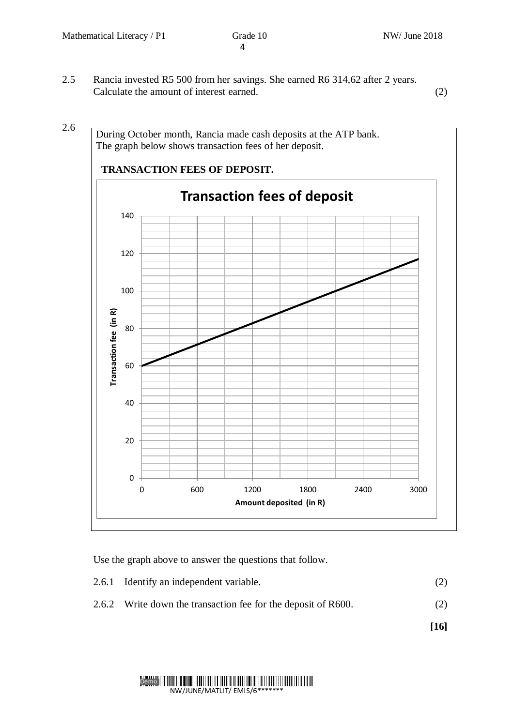2.5 Rancia invested R5 500 from her savings. She earned R6 314,62 after 2 years. Calculate the amount of interest earned. (2)

During October month, Rancia made cash deposits at the ATP bank. The graph below shows transaction fees of her deposit.  **TRANSACTION FEES OF DEPOSIT. Transaction fees of deposit** 140 120 100 Transaction fee (in R) **Transaction fee (in R)** 80 60 40 20 0 0 600 1200 1800 2400 3000 **Amount deposited (in R)**

Use the graph above to answer the questions that follow.

- 2.6.1 Identify an independent variable. (2)
- 2.6.2 Write down the transaction fee for the deposit of R600. (2)

 **[16]**

#### Demo<sup>III</sup> NW/JUNE/MATLIT/ EMIS/6\*\*\*\*\*\*\*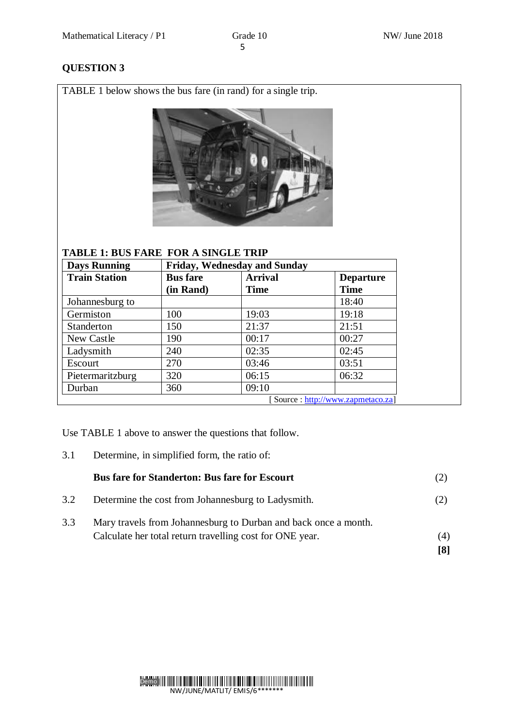# **QUESTION 3**

TABLE 1 below shows the bus fare (in rand) for a single trip.



# **TABLE 1: BUS FARE FOR A SINGLE TRIP**

| <b>Days Running</b>               |                              | <b>Friday, Wednesday and Sunday</b> |                                 |  |
|-----------------------------------|------------------------------|-------------------------------------|---------------------------------|--|
| <b>Train Station</b>              | <b>Bus</b> fare<br>(in Rand) | <b>Arrival</b><br><b>Time</b>       | <b>Departure</b><br><b>Time</b> |  |
| Johannesburg to                   |                              |                                     | 18:40                           |  |
| Germiston                         | 100                          | 19:03                               | 19:18                           |  |
| Standerton                        | 150                          | 21:37                               | 21:51                           |  |
| New Castle                        | 190                          | 00:17                               | 00:27                           |  |
| Ladysmith                         | 240                          | 02:35                               | 02:45                           |  |
| Escourt                           | 270                          | 03:46                               | 03:51                           |  |
| Pietermaritzburg                  | 320                          | 06:15                               | 06:32                           |  |
| Durban                            | 360                          | 09:10                               |                                 |  |
| [Source: http://www.zapmetaco.za] |                              |                                     |                                 |  |

Use TABLE 1 above to answer the questions that follow.

3.1 Determine, in simplified form, the ratio of:

|     | <b>Bus fare for Standerton: Bus fare for Escourt</b>                                                                        |            |
|-----|-----------------------------------------------------------------------------------------------------------------------------|------------|
| 3.2 | Determine the cost from Johannesburg to Ladysmith.                                                                          | (2)        |
| 3.3 | Mary travels from Johannesburg to Durban and back once a month.<br>Calculate her total return travelling cost for ONE year. | (4)<br>[8] |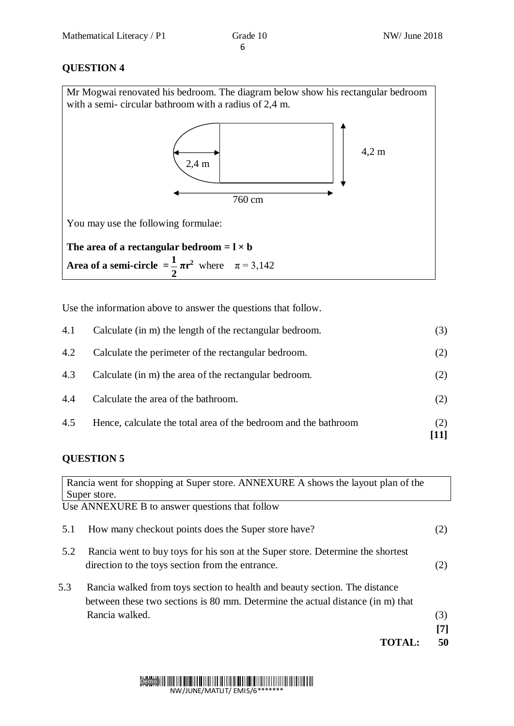# **QUESTION 4**

| Mr Mogwai renovated his bedroom. The diagram below show his rectangular bedroom<br>with a semi-circular bathroom with a radius of 2,4 m. |                 |  |  |
|------------------------------------------------------------------------------------------------------------------------------------------|-----------------|--|--|
| $2,4 \text{ m}$<br>760 cm                                                                                                                | $4.2 \text{ m}$ |  |  |
| You may use the following formulae:                                                                                                      |                 |  |  |
| The area of a rectangular bedroom $=$ $1 \times b$<br><b>Area of a semi-circle</b> $=\frac{1}{2}\pi r^2$ where $\pi = 3,142$             |                 |  |  |

Use the information above to answer the questions that follow.

| 4.5 | Hence, calculate the total area of the bedroom and the bathroom | (2)<br>[11] |
|-----|-----------------------------------------------------------------|-------------|
| 4.4 | Calculate the area of the bathroom.                             | (2)         |
| 4.3 | Calculate (in m) the area of the rectangular bedroom.           | (2)         |
| 4.2 | Calculate the perimeter of the rectangular bedroom.             | (2)         |
| 4.1 | Calculate (in m) the length of the rectangular bedroom.         | (3)         |

# **QUESTION 5**

|     | Rancia went for shopping at Super store. ANNEXURE A shows the layout plan of the                                                                             |     |
|-----|--------------------------------------------------------------------------------------------------------------------------------------------------------------|-----|
|     | Super store.                                                                                                                                                 |     |
|     | Use ANNEXURE B to answer questions that follow                                                                                                               |     |
| 5.1 | How many checkout points does the Super store have?                                                                                                          | (2) |
| 5.2 | Rancia went to buy toys for his son at the Super store. Determine the shortest<br>direction to the toys section from the entrance.                           | (2) |
| 5.3 | Rancia walked from toys section to health and beauty section. The distance<br>between these two sections is 80 mm. Determine the actual distance (in m) that |     |
|     | Rancia walked.                                                                                                                                               | (3) |
|     |                                                                                                                                                              | [7] |
|     |                                                                                                                                                              | 50  |